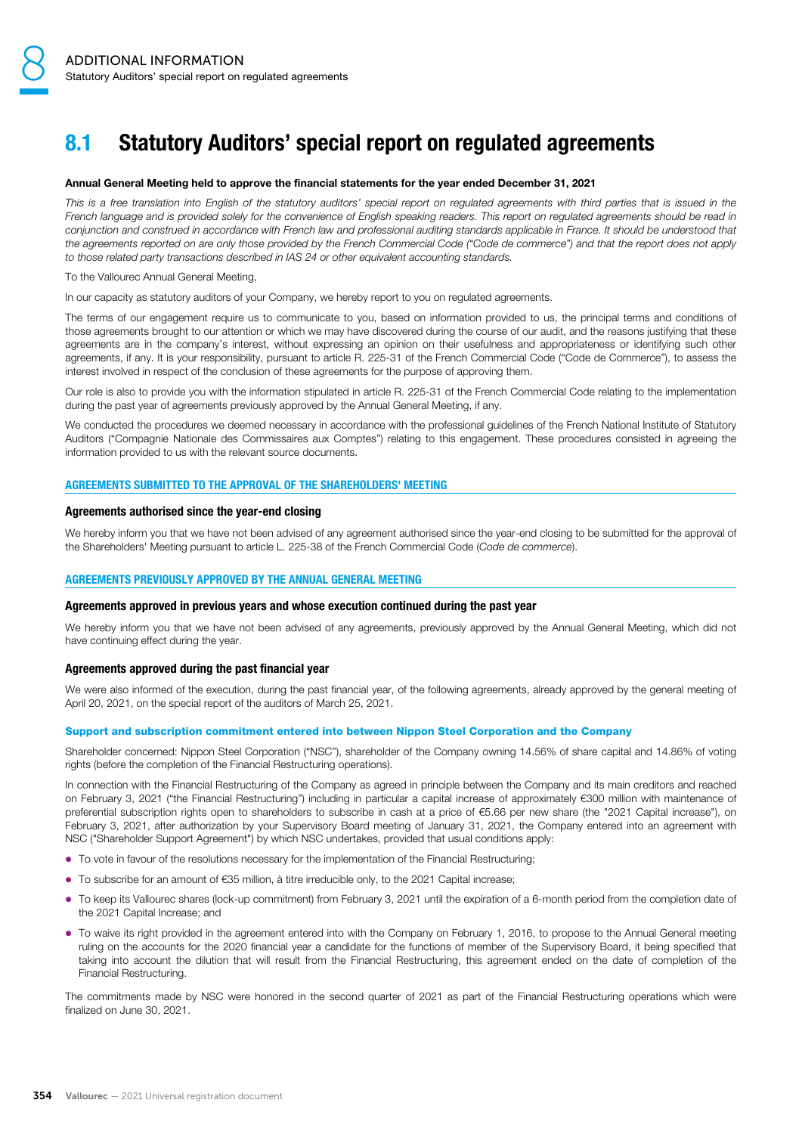# 8.1 Statutory Auditors' special report on regulated agreements

### Annual General Meeting held to approve the financial statements for the year ended December 31, 2021

This is a free translation into English of the statutory auditors' special report on regulated agreements with third parties that is issued in the French language and is provided solely for the convenience of English speaking readers. This report on regulated agreements should be read in conjunction and construed in accordance with French law and professional auditing standards applicable in France. It should be understood that the agreements reported on are only those provided by the French Commercial Code ("Code de commerce") and that the report does not apply to those related party transactions described in IAS 24 or other equivalent accounting standards.

To the Vallourec Annual General Meeting,

In our capacity as statutory auditors of your Company, we hereby report to you on regulated agreements.

The terms of our engagement require us to communicate to you, based on information provided to us, the principal terms and conditions of those agreements brought to our attention or which we may have discovered during the course of our audit, and the reasons justifying that these agreements are in the company's interest, without expressing an opinion on their usefulness and appropriateness or identifying such other agreements, if any. It is your responsibility, pursuant to article R. 225-31 of the French Commercial Code ("Code de Commerce"), to assess the interest involved in respect of the conclusion of these agreements for the purpose of approving them.

Our role is also to provide you with the information stipulated in article R. 225-31 of the French Commercial Code relating to the implementation during the past year of agreements previously approved by the Annual General Meeting, if any.

We conducted the procedures we deemed necessary in accordance with the professional guidelines of the French National Institute of Statutory Auditors ("Compagnie Nationale des Commissaires aux Comptes") relating to this engagement. These procedures consisted in agreeing the information provided to us with the relevant source documents.

## AGREEMENTS SUBMITTED TO THE APPROVAL OF THE SHAREHOLDERS' MEETING

### Agreements authorised since the year-end closing

We hereby inform you that we have not been advised of any agreement authorised since the year-end closing to be submitted for the approval of the Shareholders' Meeting pursuant to article L. 225-38 of the French Commercial Code (Code de commerce).

### AGREEMENTS PREVIOUSLY APPROVED BY THE ANNUAL GENERAL MEETING

### Agreements approved in previous years and whose execution continued during the past year

We hereby inform you that we have not been advised of any agreements, previously approved by the Annual General Meeting, which did not have continuing effect during the year.

### Agreements approved during the past financial year

We were also informed of the execution, during the past financial year, of the following agreements, already approved by the general meeting of April 20, 2021, on the special report of the auditors of March 25, 2021.

### Support and subscription commitment entered into between Nippon Steel Corporation and the Company

Shareholder concerned: Nippon Steel Corporation ("NSC"), shareholder of the Company owning 14.56% of share capital and 14.86% of voting rights (before the completion of the Financial Restructuring operations).

In connection with the Financial Restructuring of the Company as agreed in principle between the Company and its main creditors and reached on February 3, 2021 ("the Financial Restructuring") including in particular a capital increase of approximately €300 million with maintenance of preferential subscription rights open to shareholders to subscribe in cash at a price of €5.66 per new share (the "2021 Capital increase"), on February 3, 2021, after authorization by your Supervisory Board meeting of January 31, 2021, the Company entered into an agreement with NSC ("Shareholder Support Agreement") by which NSC undertakes, provided that usual conditions apply:

- To vote in favour of the resolutions necessary for the implementation of the Financial Restructuring;
- To subscribe for an amount of €35 million, à titre irreducible only, to the 2021 Capital increase;
- To keep its Vallourec shares (lock-up commitment) from February 3, 2021 until the expiration of a 6-month period from the completion date of the 2021 Capital Increase; and
- To waive its right provided in the agreement entered into with the Company on February 1, 2016, to propose to the Annual General meeting ruling on the accounts for the 2020 financial year a candidate for the functions of member of the Supervisory Board, it being specified that taking into account the dilution that will result from the Financial Restructuring, this agreement ended on the date of completion of the Financial Restructuring.

The commitments made by NSC were honored in the second quarter of 2021 as part of the Financial Restructuring operations which were finalized on June 30, 2021.